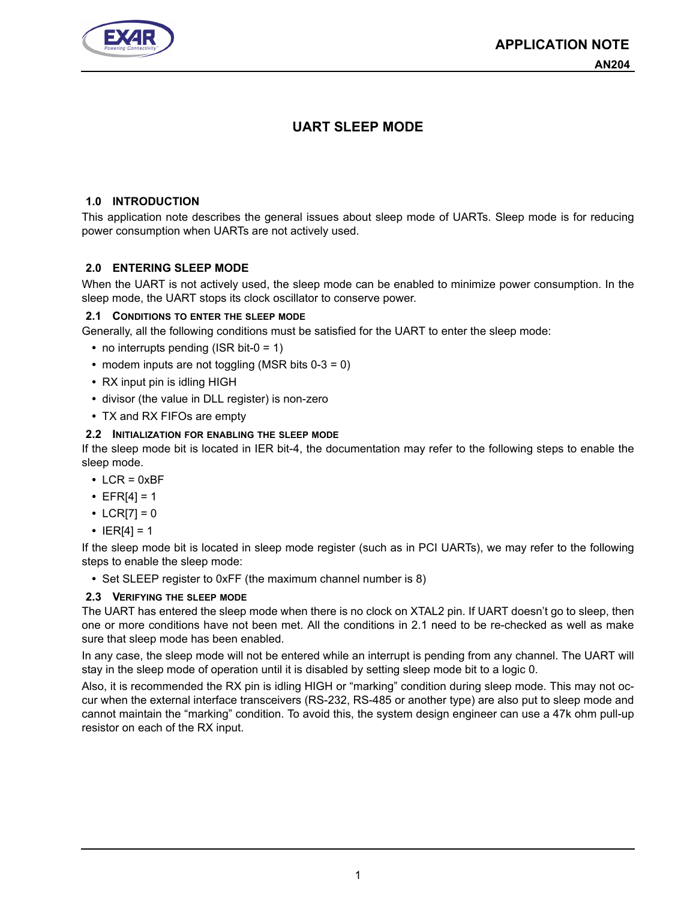

# **UART SLEEP MODE**

#### **1.0 INTRODUCTION**

This application note describes the general issues about sleep mode of UARTs. Sleep mode is for reducing power consumption when UARTs are not actively used.

## **2.0 ENTERING SLEEP MODE**

When the UART is not actively used, the sleep mode can be enabled to minimize power consumption. In the sleep mode, the UART stops its clock oscillator to conserve power.

## <span id="page-0-0"></span>**2.1 CONDITIONS TO ENTER THE SLEEP MODE**

Generally, all the following conditions must be satisfied for the UART to enter the sleep mode:

- **•** no interrupts pending (ISR bit-0 = 1)
- **•** modem inputs are not toggling (MSR bits 0-3 = 0)
- **•** RX input pin is idling HIGH
- **•** divisor (the value in DLL register) is non-zero
- **•** TX and RX FIFOs are empty

#### <span id="page-0-1"></span>**2.2 INITIALIZATION FOR ENABLING THE SLEEP MODE**

If the sleep mode bit is located in IER bit-4, the documentation may refer to the following steps to enable the sleep mode.

- **•** LCR = 0xBF
- **•** EFR[4] = 1
- LCR[7] =  $0$
- $|ER[4] = 1$

If the sleep mode bit is located in sleep mode register (such as in PCI UARTs), we may refer to the following steps to enable the sleep mode:

**•** Set SLEEP register to 0xFF (the maximum channel number is 8)

#### **2.3 VERIFYING THE SLEEP MODE**

The UART has entered the sleep mode when there is no clock on XTAL2 pin. If UART doesn't go to sleep, then one or more conditions have not been met. All the conditions in 2.1 need to be re-checked as well as make sure that sleep mode has been enabled.

In any case, the sleep mode will not be entered while an interrupt is pending from any channel. The UART will stay in the sleep mode of operation until it is disabled by setting sleep mode bit to a logic 0.

Also, it is recommended the RX pin is idling HIGH or "marking" condition during sleep mode. This may not occur when the external interface transceivers (RS-232, RS-485 or another type) are also put to sleep mode and cannot maintain the "marking" condition. To avoid this, the system design engineer can use a 47k ohm pull-up resistor on each of the RX input.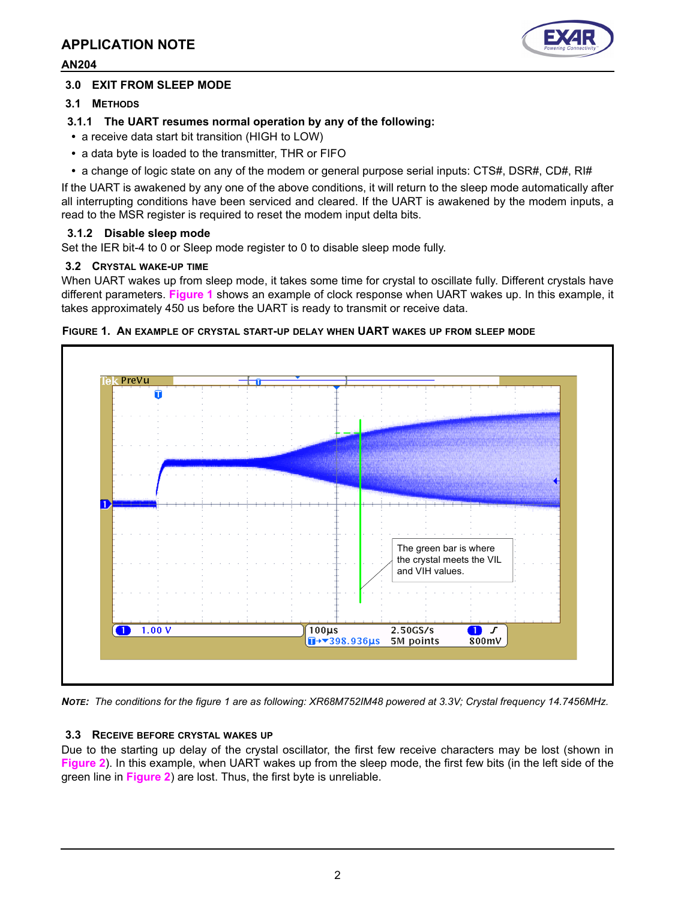

#### **AN204**

## **3.0 EXIT FROM SLEEP MODE**

**3.1 METHODS**

## **3.1.1 The UART resumes normal operation by any of the following:**

- **•** a receive data start bit transition (HIGH to LOW)
- **•** a data byte is loaded to the transmitter, THR or FIFO
- **•** a change of logic state on any of the modem or general purpose serial inputs: CTS#, DSR#, CD#, RI#

If the UART is awakened by any one of the above conditions, it will return to the sleep mode automatically after all interrupting conditions have been serviced and cleared. If the UART is awakened by the modem inputs, a read to the MSR register is required to reset the modem input delta bits.

## **3.1.2 Disable sleep mode**

Set the IER bit-4 to 0 or Sleep mode register to 0 to disable sleep mode fully.

## **3.2 CRYSTAL WAKE-UP TIME**

When UART wakes up from sleep mode, it takes some time for crystal to oscillate fully. Different crystals have different parameters. **[Figure](#page-1-0) 1** shows an example of clock response when UART wakes up. In this example, it takes approximately 450 us before the UART is ready to transmit or receive data.



#### <span id="page-1-0"></span>**FIGURE 1. AN EXAMPLE OF CRYSTAL START-UP DELAY WHEN UART WAKES UP FROM SLEEP MODE**

*NOTE: The conditions for the figure 1 are as following: XR68M752IM48 powered at 3.3V; Crystal frequency 14.7456MHz.*

#### **3.3 RECEIVE BEFORE CRYSTAL WAKES UP**

Due to the starting up delay of the crystal oscillator, the first few receive characters may be lost (shown in **[Figure](#page-2-0) 2**). In this example, when UART wakes up from the sleep mode, the first few bits (in the left side of the green line in **[Figure](#page-2-0) 2**) are lost. Thus, the first byte is unreliable.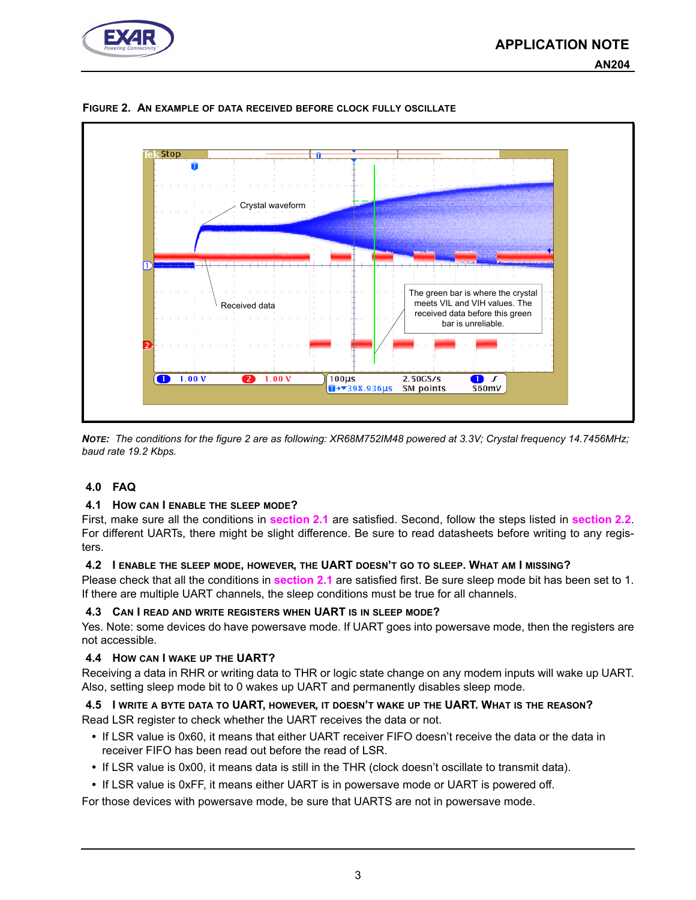



<span id="page-2-0"></span>**FIGURE 2. AN EXAMPLE OF DATA RECEIVED BEFORE CLOCK FULLY OSCILLATE**

*NOTE: The conditions for the figure 2 are as following: XR68M752IM48 powered at 3.3V; Crystal frequency 14.7456MHz; baud rate 19.2 Kbps.* 

#### **4.0 FAQ**

#### **4.1 HOW CAN I ENABLE THE SLEEP MODE?**

First, make sure all the conditions in **[section](#page-0-0) 2.1** are satisfied. Second, follow the steps listed in **[section](#page-0-1) 2.2**. For different UARTs, there might be slight difference. Be sure to read datasheets before writing to any registers.

#### **4.2 I ENABLE THE SLEEP MODE, HOWEVER, THE UART DOESN'T GO TO SLEEP. WHAT AM I MISSING?**

Please check that all the conditions in **[section](#page-0-0) 2.1** are satisfied first. Be sure sleep mode bit has been set to 1. If there are multiple UART channels, the sleep conditions must be true for all channels.

#### **4.3 CAN I READ AND WRITE REGISTERS WHEN UART IS IN SLEEP MODE?**

Yes. Note: some devices do have powersave mode. If UART goes into powersave mode, then the registers are not accessible.

#### **4.4 HOW CAN I WAKE UP THE UART?**

Receiving a data in RHR or writing data to THR or logic state change on any modem inputs will wake up UART. Also, setting sleep mode bit to 0 wakes up UART and permanently disables sleep mode.

# **4.5 I WRITE A BYTE DATA TO UART, HOWEVER, IT DOESN'T WAKE UP THE UART. WHAT IS THE REASON?**

Read LSR register to check whether the UART receives the data or not.

- **•** If LSR value is 0x60, it means that either UART receiver FIFO doesn't receive the data or the data in receiver FIFO has been read out before the read of LSR.
- **•** If LSR value is 0x00, it means data is still in the THR (clock doesn't oscillate to transmit data).
- **•** If LSR value is 0xFF, it means either UART is in powersave mode or UART is powered off.

For those devices with powersave mode, be sure that UARTS are not in powersave mode.